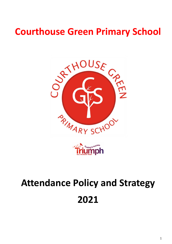# **Courthouse Green Primary School**





# **Attendance Policy and Strategy 2021**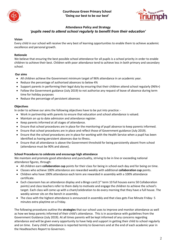



## **Attendance Policy and Strategy** *'pupils need to attend school regularly to benefit from their education'*

#### **Vision**

Every child in our school will receive the very best of learning opportunities to enable them to achieve academic excellence and personal growth.

#### **Rationale**

We believe that ensuring the best possible school attendance for all pupils is a school priority in order to enable children to achieve their best. Children with poor attendance tend to achieve less in both primary and secondary school.

#### **Our aims**

- All children achieve the Government minimum target of 96% attendance in an academic year.
- Reduce the percentage of authorised absences to below 4%
- Support parents in performing their legal duty by ensuring that their children attend school regularly (96%+)
- Follow the Government guidance (July 2019) to not authorise any request of leave of absence during term time for holiday purposes
- Reduce the percentage of persistent absences

#### **Objectives**

In order to achieve our aims the following objectives have to be put into practice: -

- Work in partnership with parents to ensure that education and school attendance is valued.
- Maintain an up to date admission and attendance register.
- Keep parents informed at all stages of attendance.
- Ensure that school procedures are in place for the monitoring of pupil absence to keep parents informed.
- Ensure that school procedures are in place and reflect those of Government guidance (July 2019).
- Ensure that the school procedures are in place for working with the Health Service when a pupil has been identified as having persistent absences due to illness.
- Ensure that all attendance is above the Government threshold for being persistently absent from school (attendance must be 90% and above).

#### **School Procedures to celebrate and encourage high attendance**

We maintain and promote good attendance and punctuality, striving to be in line or exceeding national attendance figures, through:

- All children earn **collaboration cup** points for their class for being in school each day and for being on time.
- Classes who achieve 100% attendance are rewarded weekly with additional **collaboration cup** points.
- Children who have 100% attendance each term are rewarded in assembly with a 100% attendance certificate.
- $\bullet$  Each classroom has an attendance display and a Bingo card ( $1^{st}$  term 10 full houses earns 50 Collaboration points) and class teachers refer to them daily to motivate and engage the children to achieve the school's target. Each class will come up with a chant/celebration to do every morning that they have a full house. The weekly winner sits on the bench in assembly.
- The class with the highest attendance is announced in assembly and that class gets Five Minute Friday- 5 minutes extra playtime on a Friday.

The following procedures outline the **strategies** that our school uses to improve and monitor attendance as well as how we keep parents informed of their child's attendance. This is in accordance with guidelines from the Government Guidance (July 2019). At all times parents will be kept informed of any concerns regarding attendance and will be given every opportunity to have help and support in getting their child to school regularly and on time. Every child's attendance is reported termly to Governors and at the end of each academic year in the Headteachers Report to Governors.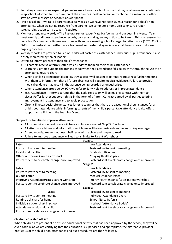- 1. Reporting absence we expect all parents/carers to notify school on the first day of absence and continue to keep school informed for the duration of the absence (speak in person or by phone to a member of office staff or leave message on school's answer phone).
- 2. First day calling we call all parents on a daily basis if we have not been given a reason for a child's nonattendance, when we get no response from parents, we complete a home visit to ensure proper safeguarding action can be taken if required.
- 3. Monitor attendance weekly The Pastoral senior leader (Kate Halfpenny) and our Learning Mentor Team meet weekly to discuss attendance records, concerns and agree any action to be taken. This is to ensure that our school's attendance figures are in line with and are meeting school's target for attendance (2020-21) it is 96%+). The Pastoral lead /Attendance lead meet with external agencies on a half termly basis to discuss ongoing concerns.
- 4. Weekly reports are provided to Senior Leaders of each class's attendance, individual pupil attendance is also closely monitored by senior leaders.
- 5. Letters to inform parents of their child's attendance:
	- All parents receive a termly letter which updates them on their child's attendance
	- Learning Mentors support children in school when their attendance falls below 94% through the use of an attendance reward chart
	- When a child's attendance falls below 92% a letter will be sent to parents requesting a further meeting with them to inform them that all future absences will require medical evidence. Failure to provide medical evidence may result in the absence being recorded as unauthorised.
	- When attendance drops below 90% we refer to Early Help to address or improve attendance
	- 85% Attendance informs parents that the Early Help team will be making contact with them to discuss/offer further support – this is in the form of a Parent Contract agreed by all parties to bring improvement in attendance and to avoid prosecution.
	- Chronic illness/special circumstances letter recognises that there are exceptional circumstances for a child's poor attendance whilst informing parents of their child's percentage attendance it also offers support and a link with the Learning Mentor.

#### **Support for families to improve attendance**

- All communication sent home will have a solution focussed "Top Tip" included
- All attendance letters and information sent home will be on postcards and focus on key messages
- Attendance figures sent out each half term will be clear and simple to read
- Failure to improve attendance will lead to an invite to Parent Workshops

| Stage 1                                         |                                                 |
|-------------------------------------------------|-------------------------------------------------|
| Lates                                           | <b>Low Attendance</b>                           |
| Postcard invite sent to meeting                 | Postcard invite sent to meeting                 |
| Establish difficulties                          | Establish difficulties                          |
| Offer Courthouse Green alarm clock              | "Staying Healthy" pack                          |
| Postcard sent to celebrate change once improved | Postcard sent to celebrate change once improved |
| Stage 2                                         |                                                 |
| Lates                                           | <b>Low Attendance</b>                           |
| Postcard invite sent to meeting                 | Postcard invite sent to meeting                 |
| U Code Letter                                   | Medical Evidence letter                         |
| Improving Attendance/Lates parent workshop      | Improving Attendance/Lates parent workshop      |
| Postcard sent to celebrate change once improved | Postcard sent to celebrate change once improved |
| Stage 3                                         |                                                 |
| Lates                                           | Postcard invite sent to meeting                 |
| Postcard invite sent to meeting                 | Individual Attendance Chart                     |
| Routine tick chart for home                     | School Nurse Referral                           |
| Individual sticker chart in school              | In school "Attendance Buddy"                    |
| Attendance session with child                   | Postcard sent to celebrate change once improved |
| Postcard sent celebrate change once improved    |                                                 |

#### **Children educated off site**

When children are present at an off-site educational activity that has been approved by the school, they will be given code B, as we are certifying that the education is supervised and appropriate, the alternative provider notifies us of the child's non-attendance and our procedures are then followed.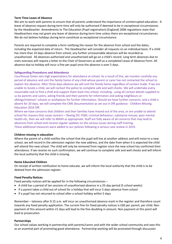#### **Term Time Leave of Absence**

We aim to work with parents to ensure that all parents understand the importance of uninterrupted education. A leave of absence request during term time will only be authorised if deemed to be in exceptional circumstances by the Headteacher. Amendments to The Education (Pupil registration) (England) 2006 regulations state that Headteachers may not grant any leave of absence during term time unless there are exceptional circumstances. We do not believe holidays during term constitute as exceptional circumstance.

Parents are required to complete a form notifying the reason for the absence from school and the dates, including the expected date of return. The Headteacher will consider all requests on an individual basis. If a child has more than 10 days absence from school, any further unreasonable absences will be recorded as unauthorised. All absences authorised and unauthorised will go on a child's record. Long term absences due to visits overseas will require a letter to the Chair of Governors as well as a completed Leave of Absence Form. All absence due to holiday will incur a fine per pupil once the absence is over 5 days.

#### **Safeguarding Procedures and Attendance**

Courthouse Green sets high expectations for attendance at school. As a result of this, we monitor carefully any period of absence and visit the family home of any child whose parent or carer has not contacted the school to explain the absence. After three days absence we will visit the family home regardless of contact made. If we are unable to locate a child, we will contact the police to complete safe and well checks. We will undertake every reasonable task to find a child and support them back into school, including - using all contact details supplied to us by parents and carers, asking friends and their parents for information and asking neighbours or siblings/relatives' schools or workplaces for further information. Should we have further concerns, and a child is absent for 20 days, we will complete the CME documentation as set out in DfE guidance - Children Missing Education 2016 DfE

Where we have concerns that children and their families have moved out of the area, or are unable to attend school for reasons that cause concern – fleeing DV; FGM; criminal behaviour; substance misuse; poor mental health etc, then we will refer to MASH as appropriate. Staff are fully aware of all concerns that may lead to absences from school and receive regular updates on the various issues during staff training. These additional measures were added to our policies following a serious case review in 2019.

#### **Children missing in education**

Where the parent of a child notifies the school that the pupil will live at another address and will move to a new school, we will record in the admission register the new address, and the date from when it is expected the child will attend this new school. The child will only be removed from register once the new school has confirmed their attendance. If we receive no such confirmation, we will continue to complete safe and well checks and will inform the local authority that the child is missing.

#### **Home Educated Children**

On receipt of written notification to home educate, we will inform the local authority that the child is to be deleted from the admission register.

#### **Fixed Penalty Notices**

Fixed penalty notices will be applied for in the following circumstances –

- A child has a period of ten sessions of unauthorised absence in a 25-day period (5 school weeks)
- If a parent takes a child out of school for a holiday that will incur 5 days absence from school
- If a pupil has not returned to school after a school holiday within 5 days

Remember – lateness after 9.15 a.m. will incur an unauthorised absence mark in the register and therefore count towards any fixed penalty application. The current fine for fixed penalty notices is £60 per parent, per child. Non payment of this amount within 21 days will lead to the fine doubling in amount. Non payment at this point will lead to prosecution.

### **Partnerships**

Our school values working in partnership with parents/carers and with the wider school community and sees this as an essential part of promoting good attendance. Partnership working will be promoted through discussion